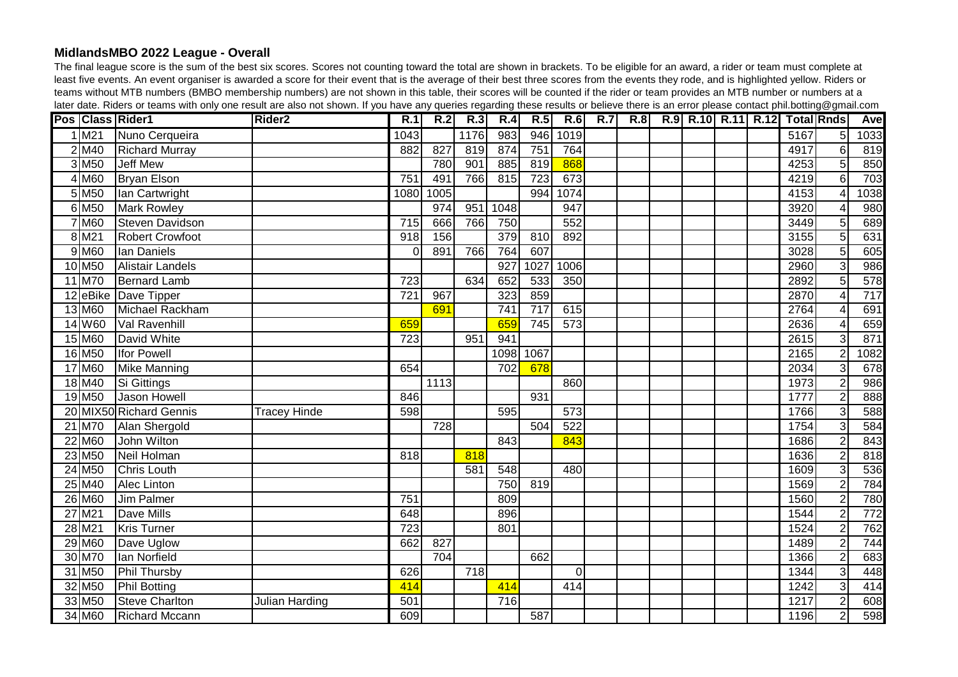## **MidlandsMBO 2022 League - Overall**

The final league score is the sum of the best six scores. Scores not counting toward the total are shown in brackets. To be eligible for an award, a rider or team must complete at least five events. An event organiser is awarded a score for their event that is the average of their best three scores from the events they rode, and is highlighted yellow. Riders or teams without MTB numbers (BMBO membership numbers) are not shown in this table, their scores will be counted if the rider or team provides an MTB number or numbers at a later date. Riders or teams with only one result are also not shown. If you have any queries regarding these results or believe there is an error please contact phil.botting@gmail.com

|                     | Pos Class Rider1        | Rider <sub>2</sub>  | R.1              | R.2  | R.3              | R.4              | R.5  | R.6              | <b>R.7</b> | R.8 |  |  | R.9 R.10 R.11 R.12 Total Rnds |                 | <b>Ave</b> |
|---------------------|-------------------------|---------------------|------------------|------|------------------|------------------|------|------------------|------------|-----|--|--|-------------------------------|-----------------|------------|
| $1$ M <sub>21</sub> | Nuno Cerqueira          |                     | 1043             |      | 1176             | 983              | 946  | 1019             |            |     |  |  | 5167                          | 5 <sup>1</sup>  | 1033       |
| $2$ M <sub>40</sub> | <b>Richard Murray</b>   |                     | 882              | 827  | 819              | 874              | 751  | 764              |            |     |  |  | 4917                          | 6 <sup>1</sup>  | 819        |
| $3$ M <sub>50</sub> | <b>Jeff Mew</b>         |                     |                  | 780  | 901              | 885              | 819  | 868              |            |     |  |  | 4253                          | $\overline{5}$  | 850        |
| $4$ M60             | <b>Bryan Elson</b>      |                     | $\overline{751}$ | 491  | 766              | 815              | 723  | 673              |            |     |  |  | 4219                          | $\overline{6}$  | 703        |
| $5$ M <sub>50</sub> | Ian Cartwright          |                     | 1080             | 1005 |                  |                  | 994  | 1074             |            |     |  |  | 4153                          | 4               | 1038       |
| 6 M <sub>50</sub>   | <b>Mark Rowley</b>      |                     |                  | 974  | 951              | 1048             |      | 947              |            |     |  |  | 3920                          | 4               | 980        |
| 7 M60               | <b>Steven Davidson</b>  |                     | 715              | 666  | 766              | 750              |      | 552              |            |     |  |  | 3449                          | 5               | 689        |
| 8 M <sub>21</sub>   | Robert Crowfoot         |                     | 918              | 156  |                  | 379              | 810  | 892              |            |     |  |  | 3155                          | 5 <sup>1</sup>  | 631        |
| $9$ M60             | Ian Daniels             |                     | $\Omega$         | 891  | 766              | 764              | 607  |                  |            |     |  |  | 3028                          | $\overline{5}$  | 605        |
| 10 M <sub>50</sub>  | <b>Alistair Landels</b> |                     |                  |      |                  | 927              | 1027 | 1006             |            |     |  |  | 2960                          | $\overline{3}$  | 986        |
| 11 M70              | <b>Bernard Lamb</b>     |                     | 723              |      | 634              | 652              | 533  | 350              |            |     |  |  | 2892                          | $\overline{5}$  | 578        |
|                     | 12 eBike Dave Tipper    |                     | $\overline{721}$ | 967  |                  | 323              | 859  |                  |            |     |  |  | 2870                          | $\vert 4 \vert$ | 717        |
| 13 M60              | Michael Rackham         |                     |                  | 691  |                  | $\overline{741}$ | 717  | 615              |            |     |  |  | 2764                          | $\vert 4 \vert$ | 691        |
| 14 W60              | Val Ravenhill           |                     | 659              |      |                  | 659              | 745  | 573              |            |     |  |  | 2636                          | $\overline{4}$  | 659        |
| 15 M60              | David White             |                     | 723              |      | 951              | 941              |      |                  |            |     |  |  | 2615                          | 3               | 871        |
| 16 M <sub>50</sub>  | <b>Ifor Powell</b>      |                     |                  |      |                  | 1098             | 1067 |                  |            |     |  |  | 2165                          | $\overline{2}$  | 1082       |
| 17 M60              | <b>Mike Manning</b>     |                     | 654              |      |                  | 702              | 678  |                  |            |     |  |  | 2034                          | $\overline{3}$  | 678        |
| 18 M40              | Si Gittings             |                     |                  | 1113 |                  |                  |      | 860              |            |     |  |  | 1973                          | $\overline{2}$  | 986        |
| 19 M <sub>50</sub>  | Jason Howell            |                     | 846              |      |                  |                  | 931  |                  |            |     |  |  | 1777                          | $\overline{2}$  | 888        |
|                     | 20 MIX50 Richard Gennis | <b>Tracey Hinde</b> | 598              |      |                  | 595              |      | $\overline{573}$ |            |     |  |  | 1766                          | $\overline{3}$  | 588        |
| 21 M70              | <b>Alan Shergold</b>    |                     |                  | 728  |                  |                  | 504  | 522              |            |     |  |  | 1754                          | $\overline{3}$  | 584        |
| 22 M60              | John Wilton             |                     |                  |      |                  | 843              |      | 843              |            |     |  |  | 1686                          | $\overline{2}$  | 843        |
| 23 M <sub>50</sub>  | Neil Holman             |                     | 818              |      | 818              |                  |      |                  |            |     |  |  | 1636                          | $\overline{2}$  | 818        |
| 24 M <sub>50</sub>  | Chris Louth             |                     |                  |      | 581              | 548              |      | 480              |            |     |  |  | 1609                          | $\overline{3}$  | 536        |
| 25 M40              | Alec Linton             |                     |                  |      |                  | 750              | 819  |                  |            |     |  |  | 1569                          | $\overline{c}$  | 784        |
| 26 M60              | Jim Palmer              |                     | 751              |      |                  | 809              |      |                  |            |     |  |  | 1560                          | $\overline{2}$  | 780        |
| 27 M21              | Dave Mills              |                     | 648              |      |                  | 896              |      |                  |            |     |  |  | 1544                          | $\overline{2}$  | 772        |
| 28 M21              | <b>Kris Turner</b>      |                     | 723              |      |                  | 801              |      |                  |            |     |  |  | 1524                          | $\overline{2}$  | 762        |
| 29 M60              | Dave Uglow              |                     | 662              | 827  |                  |                  |      |                  |            |     |  |  | 1489                          | $\overline{2}$  | 744        |
| 30 M70              | lan Norfield            |                     |                  | 704  |                  |                  | 662  |                  |            |     |  |  | 1366                          | $\overline{2}$  | 683        |
| 31 M <sub>50</sub>  | Phil Thursby            |                     | 626              |      | $\overline{718}$ |                  |      | $\overline{0}$   |            |     |  |  | 1344                          | $\overline{3}$  | 448        |
| 32 M <sub>50</sub>  | Phil Botting            |                     | 414              |      |                  | 414              |      | 414              |            |     |  |  | 1242                          | $\overline{3}$  | 414        |
| 33 M50              | Steve Charlton          | Julian Harding      | 501              |      |                  | 716              |      |                  |            |     |  |  | 1217                          | $\overline{2}$  | 608        |
| 34 M60              | <b>Richard Mccann</b>   |                     | 609              |      |                  |                  | 587  |                  |            |     |  |  | 1196                          | $\mathbf{2}$    | 598        |